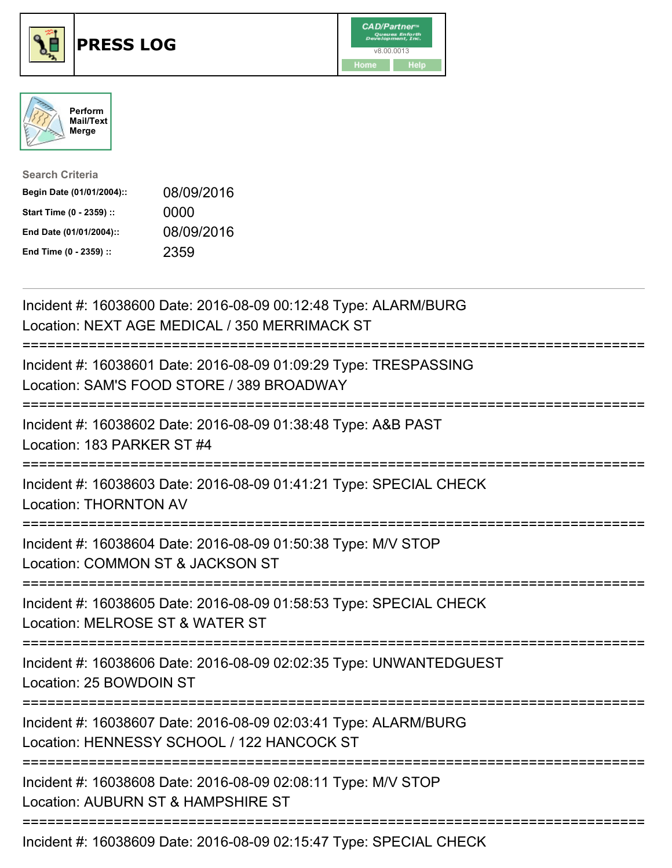





| <b>Search Criteria</b>    |            |
|---------------------------|------------|
| Begin Date (01/01/2004):: | 08/09/2016 |
| Start Time (0 - 2359) ::  | 0000       |
| End Date (01/01/2004)::   | 08/09/2016 |
| End Time (0 - 2359) ::    | 2359       |

| Incident #: 16038600 Date: 2016-08-09 00:12:48 Type: ALARM/BURG<br>Location: NEXT AGE MEDICAL / 350 MERRIMACK ST                     |
|--------------------------------------------------------------------------------------------------------------------------------------|
| Incident #: 16038601 Date: 2016-08-09 01:09:29 Type: TRESPASSING<br>Location: SAM'S FOOD STORE / 389 BROADWAY                        |
| Incident #: 16038602 Date: 2016-08-09 01:38:48 Type: A&B PAST<br>Location: 183 PARKER ST #4<br>===================================== |
| Incident #: 16038603 Date: 2016-08-09 01:41:21 Type: SPECIAL CHECK<br><b>Location: THORNTON AV</b>                                   |
| Incident #: 16038604 Date: 2016-08-09 01:50:38 Type: M/V STOP<br>Location: COMMON ST & JACKSON ST                                    |
| Incident #: 16038605 Date: 2016-08-09 01:58:53 Type: SPECIAL CHECK<br>Location: MELROSE ST & WATER ST                                |
| Incident #: 16038606 Date: 2016-08-09 02:02:35 Type: UNWANTEDGUEST<br>Location: 25 BOWDOIN ST                                        |
| Incident #: 16038607 Date: 2016-08-09 02:03:41 Type: ALARM/BURG<br>Location: HENNESSY SCHOOL / 122 HANCOCK ST                        |
| Incident #: 16038608 Date: 2016-08-09 02:08:11 Type: M/V STOP<br>Location: AUBURN ST & HAMPSHIRE ST                                  |
|                                                                                                                                      |

Incident #: 16038609 Date: 2016-08-09 02:15:47 Type: SPECIAL CHECK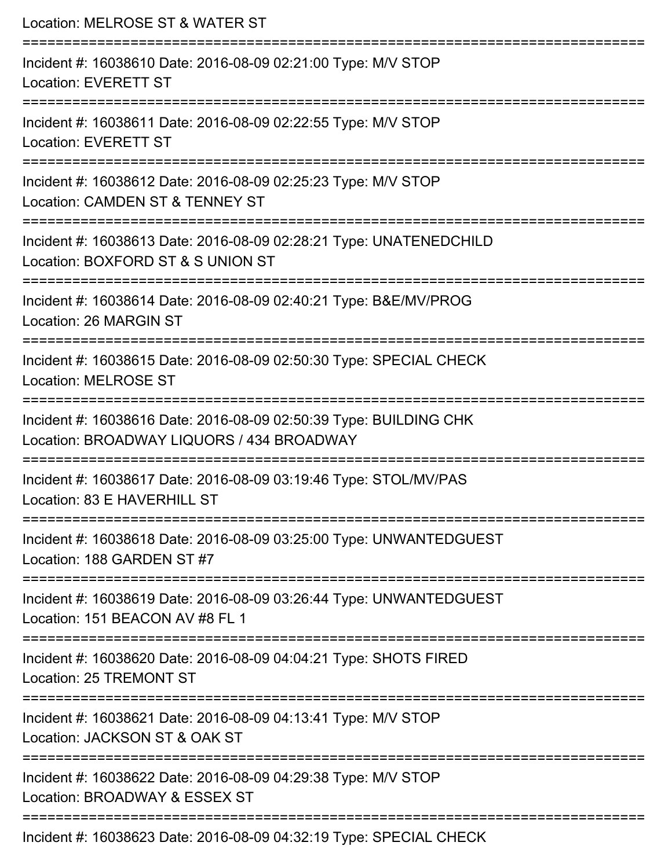| Location: MELROSE ST & WATER ST                                                                                                                                                 |
|---------------------------------------------------------------------------------------------------------------------------------------------------------------------------------|
| Incident #: 16038610 Date: 2016-08-09 02:21:00 Type: M/V STOP<br>Location: EVERETT ST                                                                                           |
| Incident #: 16038611 Date: 2016-08-09 02:22:55 Type: M/V STOP<br><b>Location: EVERETT ST</b>                                                                                    |
| Incident #: 16038612 Date: 2016-08-09 02:25:23 Type: M/V STOP<br>Location: CAMDEN ST & TENNEY ST                                                                                |
| Incident #: 16038613 Date: 2016-08-09 02:28:21 Type: UNATENEDCHILD<br>Location: BOXFORD ST & S UNION ST<br>===================================<br>============================= |
| Incident #: 16038614 Date: 2016-08-09 02:40:21 Type: B&E/MV/PROG<br>Location: 26 MARGIN ST                                                                                      |
| Incident #: 16038615 Date: 2016-08-09 02:50:30 Type: SPECIAL CHECK<br><b>Location: MELROSE ST</b><br>====================                                                       |
| Incident #: 16038616 Date: 2016-08-09 02:50:39 Type: BUILDING CHK<br>Location: BROADWAY LIQUORS / 434 BROADWAY                                                                  |
| Incident #: 16038617 Date: 2016-08-09 03:19:46 Type: STOL/MV/PAS<br>Location: 83 E HAVERHILL ST                                                                                 |
| Incident #: 16038618 Date: 2016-08-09 03:25:00 Type: UNWANTEDGUEST<br>Location: 188 GARDEN ST #7                                                                                |
| Incident #: 16038619 Date: 2016-08-09 03:26:44 Type: UNWANTEDGUEST<br>Location: 151 BEACON AV #8 FL 1                                                                           |
| Incident #: 16038620 Date: 2016-08-09 04:04:21 Type: SHOTS FIRED<br>Location: 25 TREMONT ST                                                                                     |
| Incident #: 16038621 Date: 2016-08-09 04:13:41 Type: M/V STOP<br>Location: JACKSON ST & OAK ST                                                                                  |
| Incident #: 16038622 Date: 2016-08-09 04:29:38 Type: M/V STOP<br>Location: BROADWAY & ESSEX ST                                                                                  |
| Incident #: 16038623 Date: 2016-08-09 04:32:19 Type: SPECIAL CHECK                                                                                                              |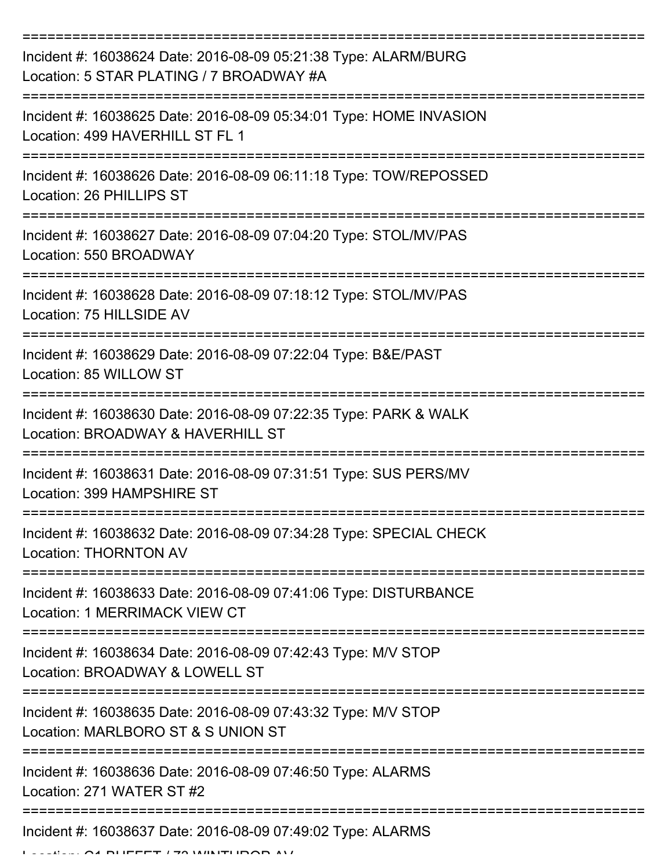| Incident #: 16038624 Date: 2016-08-09 05:21:38 Type: ALARM/BURG<br>Location: 5 STAR PLATING / 7 BROADWAY #A |
|-------------------------------------------------------------------------------------------------------------|
| Incident #: 16038625 Date: 2016-08-09 05:34:01 Type: HOME INVASION<br>Location: 499 HAVERHILL ST FL 1       |
| Incident #: 16038626 Date: 2016-08-09 06:11:18 Type: TOW/REPOSSED<br>Location: 26 PHILLIPS ST               |
| Incident #: 16038627 Date: 2016-08-09 07:04:20 Type: STOL/MV/PAS<br>Location: 550 BROADWAY                  |
| Incident #: 16038628 Date: 2016-08-09 07:18:12 Type: STOL/MV/PAS<br>Location: 75 HILLSIDE AV                |
| Incident #: 16038629 Date: 2016-08-09 07:22:04 Type: B&E/PAST<br>Location: 85 WILLOW ST                     |
| Incident #: 16038630 Date: 2016-08-09 07:22:35 Type: PARK & WALK<br>Location: BROADWAY & HAVERHILL ST       |
| Incident #: 16038631 Date: 2016-08-09 07:31:51 Type: SUS PERS/MV<br>Location: 399 HAMPSHIRF ST              |
| Incident #: 16038632 Date: 2016-08-09 07:34:28 Type: SPECIAL CHECK<br><b>Location: THORNTON AV</b>          |
| Incident #: 16038633 Date: 2016-08-09 07:41:06 Type: DISTURBANCE<br>Location: 1 MERRIMACK VIEW CT           |
| Incident #: 16038634 Date: 2016-08-09 07:42:43 Type: M/V STOP<br>Location: BROADWAY & LOWELL ST             |
| Incident #: 16038635 Date: 2016-08-09 07:43:32 Type: M/V STOP<br>Location: MARLBORO ST & S UNION ST         |
| Incident #: 16038636 Date: 2016-08-09 07:46:50 Type: ALARMS<br>Location: 271 WATER ST #2                    |
| Incident #: 16038637 Date: 2016-08-09 07:49:02 Type: ALARMS                                                 |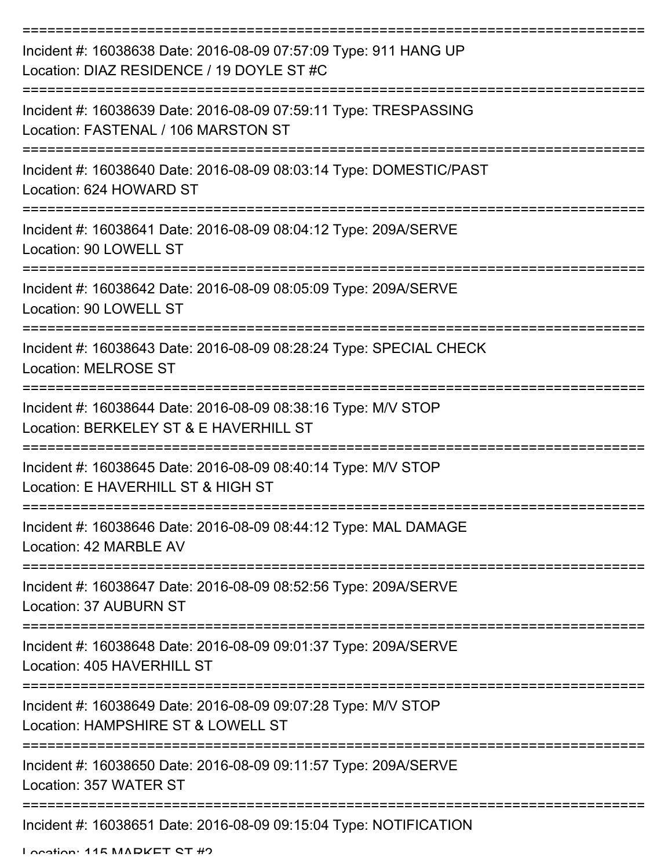| Incident #: 16038638 Date: 2016-08-09 07:57:09 Type: 911 HANG UP<br>Location: DIAZ RESIDENCE / 19 DOYLE ST #C                                |
|----------------------------------------------------------------------------------------------------------------------------------------------|
| Incident #: 16038639 Date: 2016-08-09 07:59:11 Type: TRESPASSING<br>Location: FASTENAL / 106 MARSTON ST                                      |
| Incident #: 16038640 Date: 2016-08-09 08:03:14 Type: DOMESTIC/PAST<br>Location: 624 HOWARD ST                                                |
| Incident #: 16038641 Date: 2016-08-09 08:04:12 Type: 209A/SERVE<br>Location: 90 LOWELL ST                                                    |
| Incident #: 16038642 Date: 2016-08-09 08:05:09 Type: 209A/SERVE<br>Location: 90 LOWELL ST                                                    |
| Incident #: 16038643 Date: 2016-08-09 08:28:24 Type: SPECIAL CHECK<br><b>Location: MELROSE ST</b>                                            |
| Incident #: 16038644 Date: 2016-08-09 08:38:16 Type: M/V STOP<br>Location: BERKELEY ST & E HAVERHILL ST                                      |
| Incident #: 16038645 Date: 2016-08-09 08:40:14 Type: M/V STOP<br>Location: E HAVERHILL ST & HIGH ST                                          |
| Incident #: 16038646 Date: 2016-08-09 08:44:12 Type: MAL DAMAGE<br>Location: 42 MARBLE AV                                                    |
| Incident #: 16038647 Date: 2016-08-09 08:52:56 Type: 209A/SERVE<br>Location: 37 AUBURN ST                                                    |
| Incident #: 16038648 Date: 2016-08-09 09:01:37 Type: 209A/SERVE<br>Location: 405 HAVERHILL ST                                                |
| -------------------------------------<br>Incident #: 16038649 Date: 2016-08-09 09:07:28 Type: M/V STOP<br>Location: HAMPSHIRE ST & LOWELL ST |
| Incident #: 16038650 Date: 2016-08-09 09:11:57 Type: 209A/SERVE<br>Location: 357 WATER ST                                                    |
| Incident #: 16038651 Date: 2016-08-09 09:15:04 Type: NOTIFICATION                                                                            |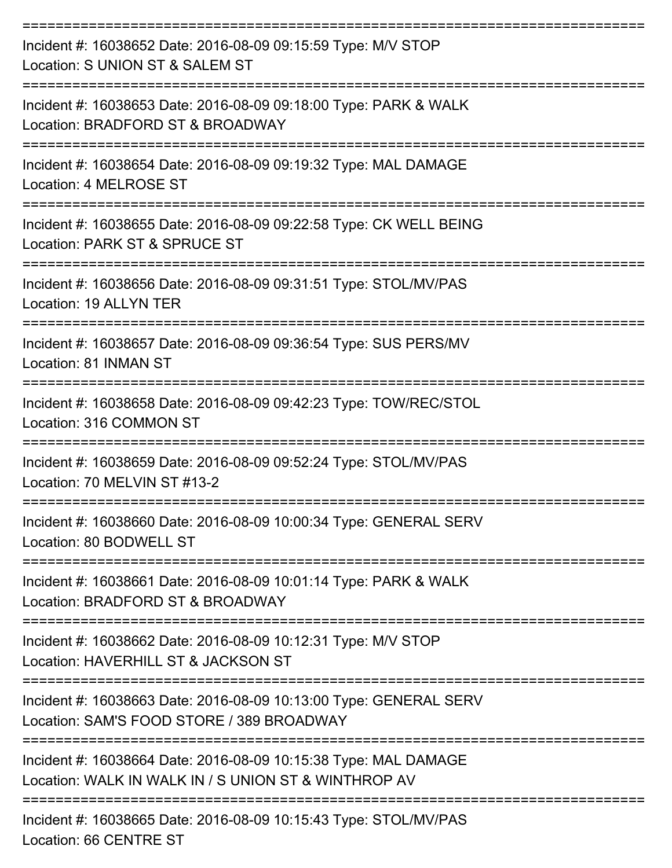| Incident #: 16038652 Date: 2016-08-09 09:15:59 Type: M/V STOP<br>Location: S UNION ST & SALEM ST                                     |
|--------------------------------------------------------------------------------------------------------------------------------------|
| Incident #: 16038653 Date: 2016-08-09 09:18:00 Type: PARK & WALK<br>Location: BRADFORD ST & BROADWAY                                 |
| Incident #: 16038654 Date: 2016-08-09 09:19:32 Type: MAL DAMAGE<br>Location: 4 MELROSE ST                                            |
| Incident #: 16038655 Date: 2016-08-09 09:22:58 Type: CK WELL BEING<br>Location: PARK ST & SPRUCE ST                                  |
| Incident #: 16038656 Date: 2016-08-09 09:31:51 Type: STOL/MV/PAS<br>Location: 19 ALLYN TER                                           |
| Incident #: 16038657 Date: 2016-08-09 09:36:54 Type: SUS PERS/MV<br>Location: 81 INMAN ST                                            |
| Incident #: 16038658 Date: 2016-08-09 09:42:23 Type: TOW/REC/STOL<br>Location: 316 COMMON ST                                         |
| -------------------------------<br>Incident #: 16038659 Date: 2016-08-09 09:52:24 Type: STOL/MV/PAS<br>Location: 70 MFI VIN ST #13-2 |
| Incident #: 16038660 Date: 2016-08-09 10:00:34 Type: GENERAL SERV<br>Location: 80 BODWELL ST                                         |
| ----------------<br>Incident #: 16038661 Date: 2016-08-09 10:01:14 Type: PARK & WALK<br>Location: BRADFORD ST & BROADWAY             |
| Incident #: 16038662 Date: 2016-08-09 10:12:31 Type: M/V STOP<br>Location: HAVERHILL ST & JACKSON ST                                 |
| Incident #: 16038663 Date: 2016-08-09 10:13:00 Type: GENERAL SERV<br>Location: SAM'S FOOD STORE / 389 BROADWAY                       |
| Incident #: 16038664 Date: 2016-08-09 10:15:38 Type: MAL DAMAGE<br>Location: WALK IN WALK IN / S UNION ST & WINTHROP AV              |
| Incident #: 16038665 Date: 2016-08-09 10:15:43 Type: STOL/MV/PAS<br>Location: 66 CENTRE ST                                           |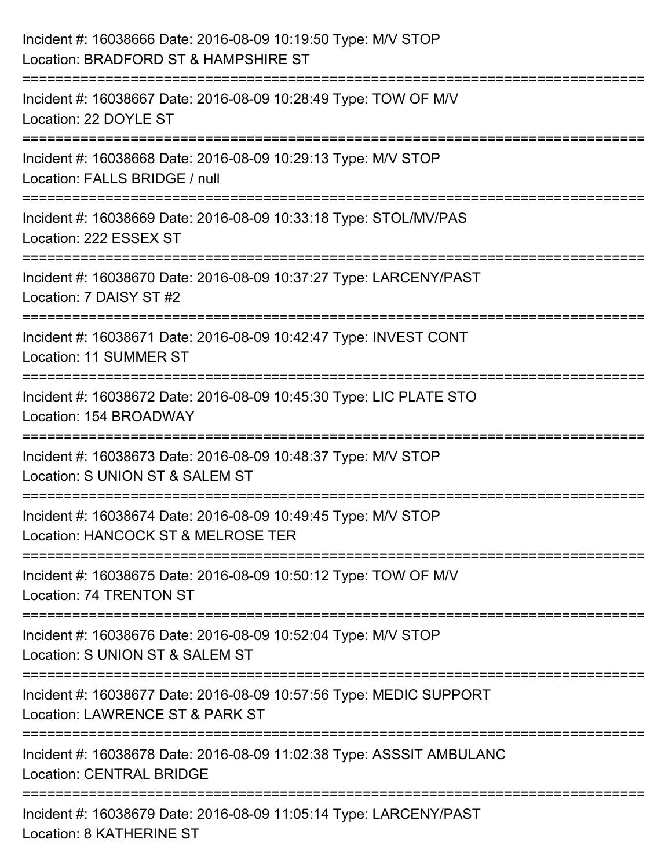| Incident #: 16038666 Date: 2016-08-09 10:19:50 Type: M/V STOP<br>Location: BRADFORD ST & HAMPSHIRE ST                    |
|--------------------------------------------------------------------------------------------------------------------------|
| Incident #: 16038667 Date: 2016-08-09 10:28:49 Type: TOW OF M/V<br>Location: 22 DOYLE ST                                 |
| Incident #: 16038668 Date: 2016-08-09 10:29:13 Type: M/V STOP<br>Location: FALLS BRIDGE / null<br>:===================== |
| Incident #: 16038669 Date: 2016-08-09 10:33:18 Type: STOL/MV/PAS<br>Location: 222 ESSEX ST                               |
| Incident #: 16038670 Date: 2016-08-09 10:37:27 Type: LARCENY/PAST<br>Location: 7 DAISY ST #2                             |
| Incident #: 16038671 Date: 2016-08-09 10:42:47 Type: INVEST CONT<br>Location: 11 SUMMER ST                               |
| Incident #: 16038672 Date: 2016-08-09 10:45:30 Type: LIC PLATE STO<br>Location: 154 BROADWAY                             |
| Incident #: 16038673 Date: 2016-08-09 10:48:37 Type: M/V STOP<br>Location: S UNION ST & SALEM ST                         |
| Incident #: 16038674 Date: 2016-08-09 10:49:45 Type: M/V STOP<br>Location: HANCOCK ST & MELROSE TER                      |
| Incident #: 16038675 Date: 2016-08-09 10:50:12 Type: TOW OF M/V<br>Location: 74 TRENTON ST                               |
| Incident #: 16038676 Date: 2016-08-09 10:52:04 Type: M/V STOP<br>Location: S UNION ST & SALEM ST                         |
| Incident #: 16038677 Date: 2016-08-09 10:57:56 Type: MEDIC SUPPORT<br>Location: LAWRENCE ST & PARK ST                    |
| Incident #: 16038678 Date: 2016-08-09 11:02:38 Type: ASSSIT AMBULANC<br><b>Location: CENTRAL BRIDGE</b>                  |
| Incident #: 16038679 Date: 2016-08-09 11:05:14 Type: LARCENY/PAST<br>Location: 8 KATHERINE ST                            |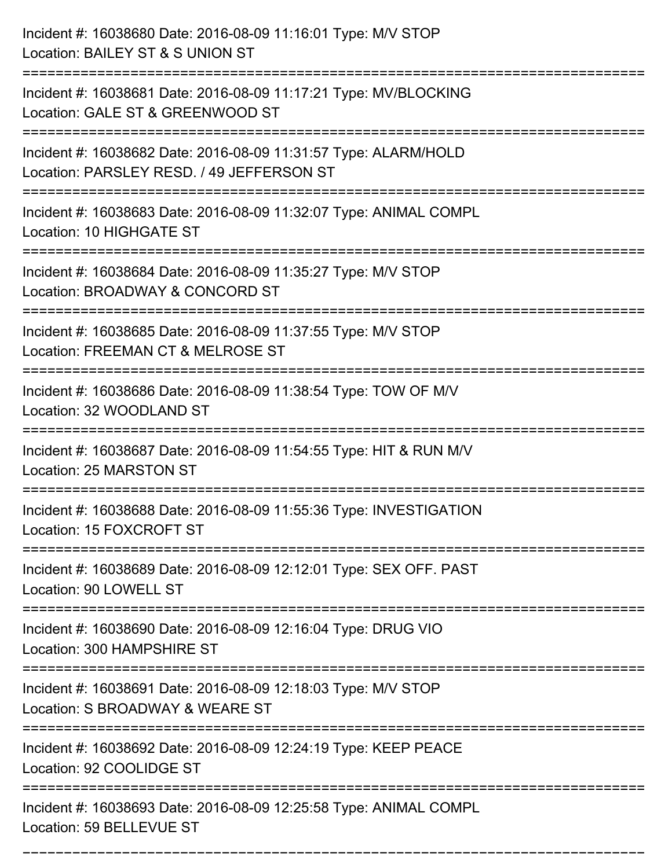| Incident #: 16038680 Date: 2016-08-09 11:16:01 Type: M/V STOP<br>Location: BAILEY ST & S UNION ST                                                  |
|----------------------------------------------------------------------------------------------------------------------------------------------------|
| ========================<br>Incident #: 16038681 Date: 2016-08-09 11:17:21 Type: MV/BLOCKING<br>Location: GALE ST & GREENWOOD ST                   |
| Incident #: 16038682 Date: 2016-08-09 11:31:57 Type: ALARM/HOLD<br>Location: PARSLEY RESD. / 49 JEFFERSON ST<br>================================== |
| Incident #: 16038683 Date: 2016-08-09 11:32:07 Type: ANIMAL COMPL<br>Location: 10 HIGHGATE ST                                                      |
| Incident #: 16038684 Date: 2016-08-09 11:35:27 Type: M/V STOP<br>Location: BROADWAY & CONCORD ST<br>==================                             |
| Incident #: 16038685 Date: 2016-08-09 11:37:55 Type: M/V STOP<br>Location: FREEMAN CT & MELROSE ST                                                 |
| Incident #: 16038686 Date: 2016-08-09 11:38:54 Type: TOW OF M/V<br>Location: 32 WOODLAND ST                                                        |
| Incident #: 16038687 Date: 2016-08-09 11:54:55 Type: HIT & RUN M/V<br>Location: 25 MARSTON ST                                                      |
| Incident #: 16038688 Date: 2016-08-09 11:55:36 Type: INVESTIGATION<br>Location: 15 FOXCROFT ST                                                     |
| Incident #: 16038689 Date: 2016-08-09 12:12:01 Type: SEX OFF. PAST<br>Location: 90 LOWELL ST                                                       |
| Incident #: 16038690 Date: 2016-08-09 12:16:04 Type: DRUG VIO<br>Location: 300 HAMPSHIRE ST                                                        |
| Incident #: 16038691 Date: 2016-08-09 12:18:03 Type: M/V STOP<br>Location: S BROADWAY & WEARE ST                                                   |
| Incident #: 16038692 Date: 2016-08-09 12:24:19 Type: KEEP PEACE<br>Location: 92 COOLIDGE ST                                                        |
| Incident #: 16038693 Date: 2016-08-09 12:25:58 Type: ANIMAL COMPL<br>Location: 59 BELLEVUE ST                                                      |

===========================================================================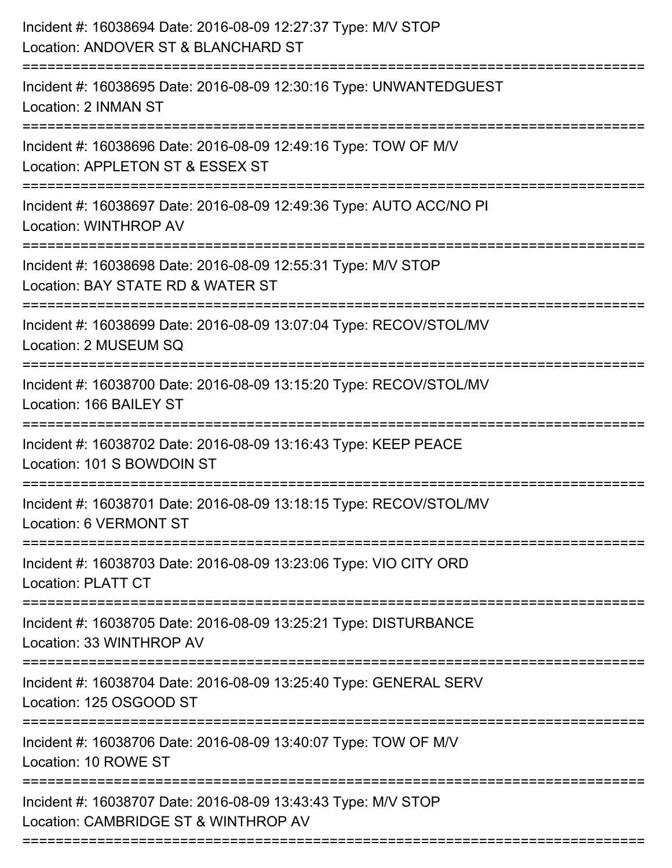| Incident #: 16038694 Date: 2016-08-09 12:27:37 Type: M/V STOP<br>Location: ANDOVER ST & BLANCHARD ST<br>===================== |
|-------------------------------------------------------------------------------------------------------------------------------|
| Incident #: 16038695 Date: 2016-08-09 12:30:16 Type: UNWANTEDGUEST<br>Location: 2 INMAN ST                                    |
| Incident #: 16038696 Date: 2016-08-09 12:49:16 Type: TOW OF M/V<br>Location: APPLETON ST & ESSEX ST                           |
| Incident #: 16038697 Date: 2016-08-09 12:49:36 Type: AUTO ACC/NO PI<br>Location: WINTHROP AV                                  |
| Incident #: 16038698 Date: 2016-08-09 12:55:31 Type: M/V STOP<br>Location: BAY STATE RD & WATER ST<br>===================     |
| Incident #: 16038699 Date: 2016-08-09 13:07:04 Type: RECOV/STOL/MV<br>Location: 2 MUSEUM SQ                                   |
| Incident #: 16038700 Date: 2016-08-09 13:15:20 Type: RECOV/STOL/MV<br>Location: 166 BAILEY ST                                 |
| Incident #: 16038702 Date: 2016-08-09 13:16:43 Type: KEEP PEACE<br>Location: 101 S BOWDOIN ST                                 |
| Incident #: 16038701 Date: 2016-08-09 13:18:15 Type: RECOV/STOL/MV<br>Location: 6 VERMONT ST                                  |
| Incident #: 16038703 Date: 2016-08-09 13:23:06 Type: VIO CITY ORD<br><b>Location: PLATT CT</b>                                |
| Incident #: 16038705 Date: 2016-08-09 13:25:21 Type: DISTURBANCE<br>Location: 33 WINTHROP AV                                  |
| Incident #: 16038704 Date: 2016-08-09 13:25:40 Type: GENERAL SERV<br>Location: 125 OSGOOD ST                                  |
| Incident #: 16038706 Date: 2016-08-09 13:40:07 Type: TOW OF M/V<br>Location: 10 ROWE ST                                       |
| Incident #: 16038707 Date: 2016-08-09 13:43:43 Type: M/V STOP<br>Location: CAMBRIDGE ST & WINTHROP AV                         |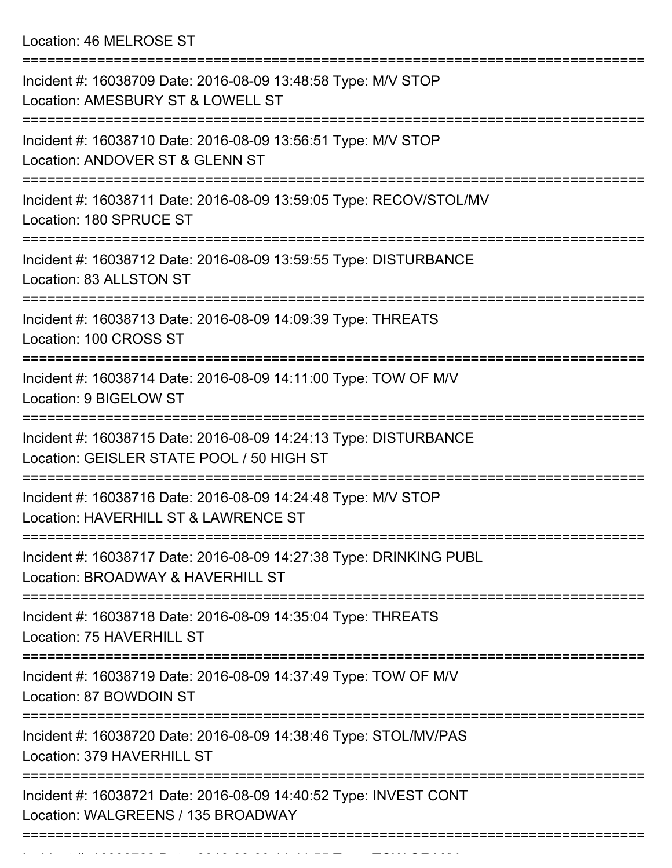Location: 46 MELROSE ST

| Incident #: 16038709 Date: 2016-08-09 13:48:58 Type: M/V STOP<br>Location: AMESBURY ST & LOWELL ST            |
|---------------------------------------------------------------------------------------------------------------|
| Incident #: 16038710 Date: 2016-08-09 13:56:51 Type: M/V STOP<br>Location: ANDOVER ST & GLENN ST              |
| Incident #: 16038711 Date: 2016-08-09 13:59:05 Type: RECOV/STOL/MV<br>Location: 180 SPRUCE ST                 |
| Incident #: 16038712 Date: 2016-08-09 13:59:55 Type: DISTURBANCE<br>Location: 83 ALLSTON ST                   |
| Incident #: 16038713 Date: 2016-08-09 14:09:39 Type: THREATS<br>Location: 100 CROSS ST                        |
| Incident #: 16038714 Date: 2016-08-09 14:11:00 Type: TOW OF M/V<br>Location: 9 BIGELOW ST                     |
| Incident #: 16038715 Date: 2016-08-09 14:24:13 Type: DISTURBANCE<br>Location: GEISLER STATE POOL / 50 HIGH ST |
| Incident #: 16038716 Date: 2016-08-09 14:24:48 Type: M/V STOP<br>Location: HAVERHILL ST & LAWRENCE ST         |
| Incident #: 16038717 Date: 2016-08-09 14:27:38 Type: DRINKING PUBL<br>Location: BROADWAY & HAVERHILL ST       |
| Incident #: 16038718 Date: 2016-08-09 14:35:04 Type: THREATS<br>Location: 75 HAVERHILL ST                     |
| Incident #: 16038719 Date: 2016-08-09 14:37:49 Type: TOW OF M/V<br>Location: 87 BOWDOIN ST                    |
| Incident #: 16038720 Date: 2016-08-09 14:38:46 Type: STOL/MV/PAS<br>Location: 379 HAVERHILL ST                |
| Incident #: 16038721 Date: 2016-08-09 14:40:52 Type: INVEST CONT<br>Location: WALGREENS / 135 BROADWAY        |
|                                                                                                               |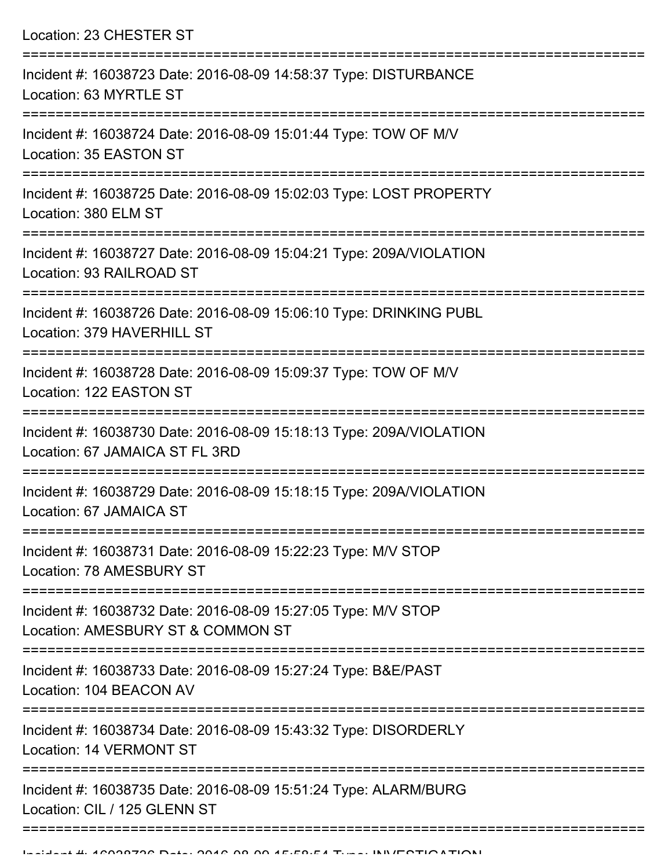Location: 23 CHESTER ST =========================================================================== Incident #: 16038723 Date: 2016-08-09 14:58:37 Type: DISTURBANCE Location: 63 MYRTLE ST =========================================================================== Incident #: 16038724 Date: 2016-08-09 15:01:44 Type: TOW OF M/V Location: 35 EASTON ST =========================================================================== Incident #: 16038725 Date: 2016-08-09 15:02:03 Type: LOST PROPERTY Location: 380 ELM ST =========================================================================== Incident #: 16038727 Date: 2016-08-09 15:04:21 Type: 209A/VIOLATION Location: 93 RAILROAD ST =========================================================================== Incident #: 16038726 Date: 2016-08-09 15:06:10 Type: DRINKING PUBL Location: 379 HAVERHILL ST =========================================================================== Incident #: 16038728 Date: 2016-08-09 15:09:37 Type: TOW OF M/V Location: 122 EASTON ST =========================================================================== Incident #: 16038730 Date: 2016-08-09 15:18:13 Type: 209A/VIOLATION Location: 67 JAMAICA ST FL 3RD =========================================================================== Incident #: 16038729 Date: 2016-08-09 15:18:15 Type: 209A/VIOLATION Location: 67 JAMAICA ST =========================================================================== Incident #: 16038731 Date: 2016-08-09 15:22:23 Type: M/V STOP Location: 78 AMESBURY ST =========================================================================== Incident #: 16038732 Date: 2016-08-09 15:27:05 Type: M/V STOP Location: AMESBURY ST & COMMON ST =========================================================================== Incident #: 16038733 Date: 2016-08-09 15:27:24 Type: B&E/PAST Location: 104 BEACON AV =========================================================================== Incident #: 16038734 Date: 2016-08-09 15:43:32 Type: DISORDERLY Location: 14 VERMONT ST =========================================================================== Incident #: 16038735 Date: 2016-08-09 15:51:24 Type: ALARM/BURG Location: CIL / 125 GLENN ST

===========================================================================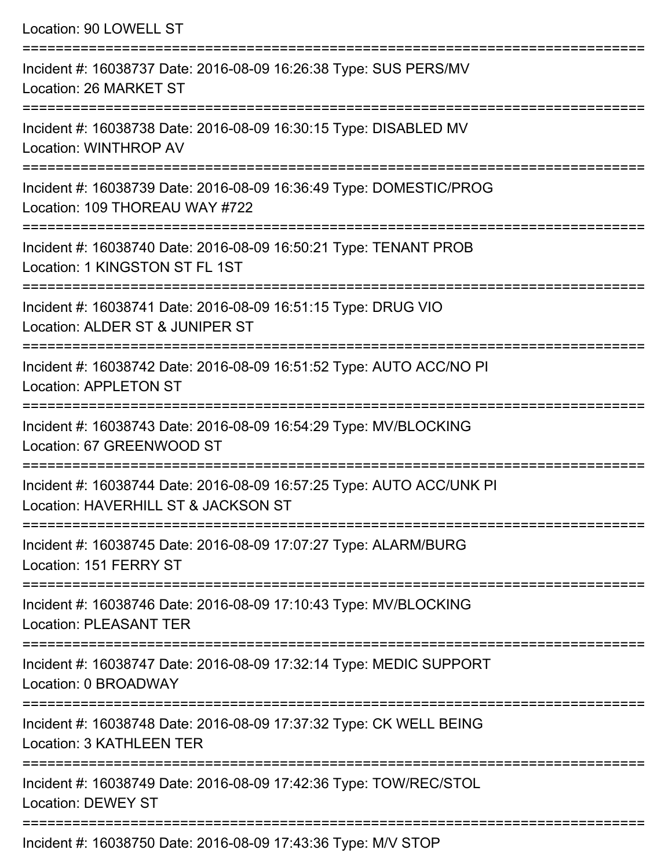Location: 90 LOWELL ST =========================================================================== Incident #: 16038737 Date: 2016-08-09 16:26:38 Type: SUS PERS/MV Location: 26 MARKET ST =========================================================================== Incident #: 16038738 Date: 2016-08-09 16:30:15 Type: DISABLED MV Location: WINTHROP AV =========================================================================== Incident #: 16038739 Date: 2016-08-09 16:36:49 Type: DOMESTIC/PROG Location: 109 THOREAU WAY #722 =========================================================================== Incident #: 16038740 Date: 2016-08-09 16:50:21 Type: TENANT PROB Location: 1 KINGSTON ST FL 1ST =========================================================================== Incident #: 16038741 Date: 2016-08-09 16:51:15 Type: DRUG VIO Location: ALDER ST & JUNIPER ST =========================================================================== Incident #: 16038742 Date: 2016-08-09 16:51:52 Type: AUTO ACC/NO PI Location: APPLETON ST =========================================================================== Incident #: 16038743 Date: 2016-08-09 16:54:29 Type: MV/BLOCKING Location: 67 GREENWOOD ST =========================================================================== Incident #: 16038744 Date: 2016-08-09 16:57:25 Type: AUTO ACC/UNK PI Location: HAVERHILL ST & JACKSON ST =========================================================================== Incident #: 16038745 Date: 2016-08-09 17:07:27 Type: ALARM/BURG Location: 151 FERRY ST =========================================================================== Incident #: 16038746 Date: 2016-08-09 17:10:43 Type: MV/BLOCKING Location: PLEASANT TER =========================================================================== Incident #: 16038747 Date: 2016-08-09 17:32:14 Type: MEDIC SUPPORT Location: 0 BROADWAY =========================================================================== Incident #: 16038748 Date: 2016-08-09 17:37:32 Type: CK WELL BEING Location: 3 KATHLEEN TER =========================================================================== Incident #: 16038749 Date: 2016-08-09 17:42:36 Type: TOW/REC/STOL Location: DEWEY ST

===========================================================================

Incident #: 16038750 Date: 2016-08-09 17:43:36 Type: M/V STOP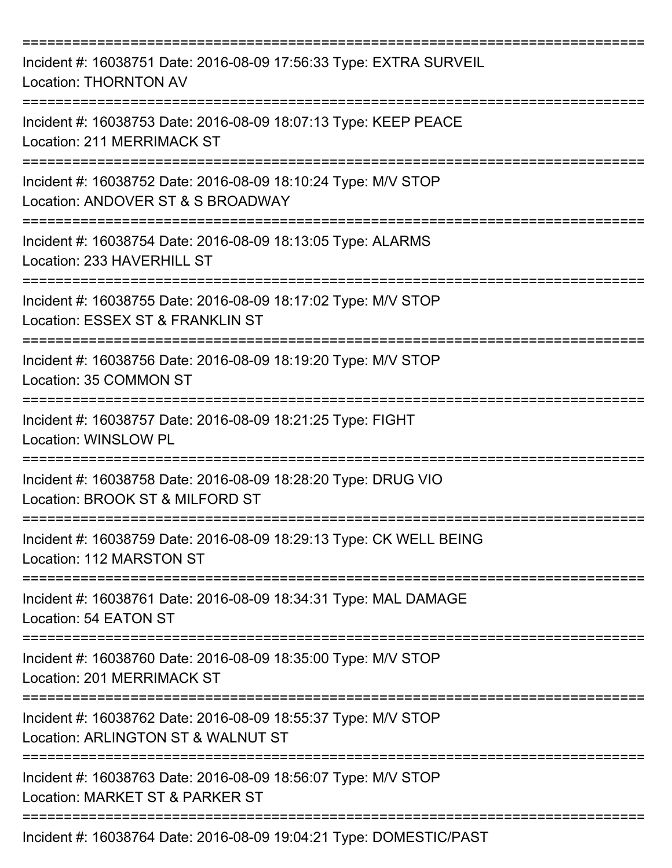| Incident #: 16038751 Date: 2016-08-09 17:56:33 Type: EXTRA SURVEIL<br><b>Location: THORNTON AV</b>                  |
|---------------------------------------------------------------------------------------------------------------------|
| Incident #: 16038753 Date: 2016-08-09 18:07:13 Type: KEEP PEACE<br>Location: 211 MERRIMACK ST                       |
| Incident #: 16038752 Date: 2016-08-09 18:10:24 Type: M/V STOP<br>Location: ANDOVER ST & S BROADWAY                  |
| Incident #: 16038754 Date: 2016-08-09 18:13:05 Type: ALARMS<br>Location: 233 HAVERHILL ST                           |
| Incident #: 16038755 Date: 2016-08-09 18:17:02 Type: M/V STOP<br>Location: ESSEX ST & FRANKLIN ST                   |
| Incident #: 16038756 Date: 2016-08-09 18:19:20 Type: M/V STOP<br>Location: 35 COMMON ST                             |
| Incident #: 16038757 Date: 2016-08-09 18:21:25 Type: FIGHT<br>Location: WINSLOW PL                                  |
| Incident #: 16038758 Date: 2016-08-09 18:28:20 Type: DRUG VIO<br>Location: BROOK ST & MILFORD ST                    |
| Incident #: 16038759 Date: 2016-08-09 18:29:13 Type: CK WELL BEING<br>Location: 112 MARSTON ST                      |
| Incident #: 16038761 Date: 2016-08-09 18:34:31 Type: MAL DAMAGE<br>Location: 54 EATON ST                            |
| Incident #: 16038760 Date: 2016-08-09 18:35:00 Type: M/V STOP<br>Location: 201 MERRIMACK ST                         |
| ------------<br>Incident #: 16038762 Date: 2016-08-09 18:55:37 Type: M/V STOP<br>Location: ARLINGTON ST & WALNUT ST |
| Incident #: 16038763 Date: 2016-08-09 18:56:07 Type: M/V STOP<br>Location: MARKET ST & PARKER ST                    |
| Incident #: 16038764 Date: 2016-08-09 19:04:21 Type: DOMESTIC/PAST                                                  |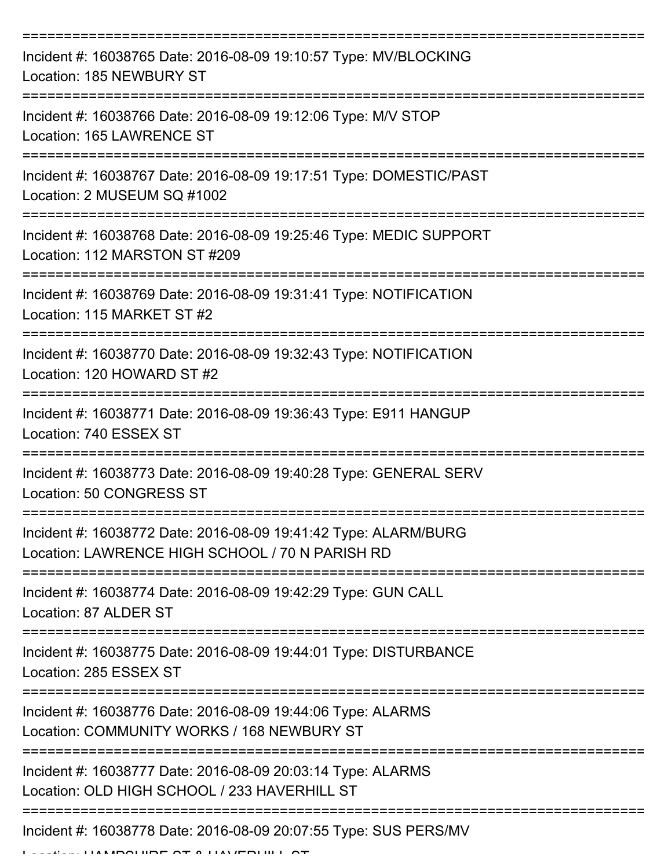| Incident #: 16038765 Date: 2016-08-09 19:10:57 Type: MV/BLOCKING<br>Location: 185 NEWBURY ST                       |
|--------------------------------------------------------------------------------------------------------------------|
| Incident #: 16038766 Date: 2016-08-09 19:12:06 Type: M/V STOP<br>Location: 165 LAWRENCE ST                         |
| Incident #: 16038767 Date: 2016-08-09 19:17:51 Type: DOMESTIC/PAST<br>Location: 2 MUSEUM SQ #1002                  |
| Incident #: 16038768 Date: 2016-08-09 19:25:46 Type: MEDIC SUPPORT<br>Location: 112 MARSTON ST #209                |
| Incident #: 16038769 Date: 2016-08-09 19:31:41 Type: NOTIFICATION<br>Location: 115 MARKET ST #2                    |
| Incident #: 16038770 Date: 2016-08-09 19:32:43 Type: NOTIFICATION<br>Location: 120 HOWARD ST #2                    |
| Incident #: 16038771 Date: 2016-08-09 19:36:43 Type: E911 HANGUP<br>Location: 740 ESSEX ST<br>=============        |
| Incident #: 16038773 Date: 2016-08-09 19:40:28 Type: GENERAL SERV<br>Location: 50 CONGRESS ST                      |
| Incident #: 16038772 Date: 2016-08-09 19:41:42 Type: ALARM/BURG<br>Location: LAWRENCE HIGH SCHOOL / 70 N PARISH RD |
| Incident #: 16038774 Date: 2016-08-09 19:42:29 Type: GUN CALL<br>Location: 87 ALDER ST                             |
| Incident #: 16038775 Date: 2016-08-09 19:44:01 Type: DISTURBANCE<br>Location: 285 ESSEX ST                         |
| Incident #: 16038776 Date: 2016-08-09 19:44:06 Type: ALARMS<br>Location: COMMUNITY WORKS / 168 NEWBURY ST          |
| Incident #: 16038777 Date: 2016-08-09 20:03:14 Type: ALARMS<br>Location: OLD HIGH SCHOOL / 233 HAVERHILL ST        |
| Incident #: 16038778 Date: 2016-08-09 20:07:55 Type: SUS PERS/MV                                                   |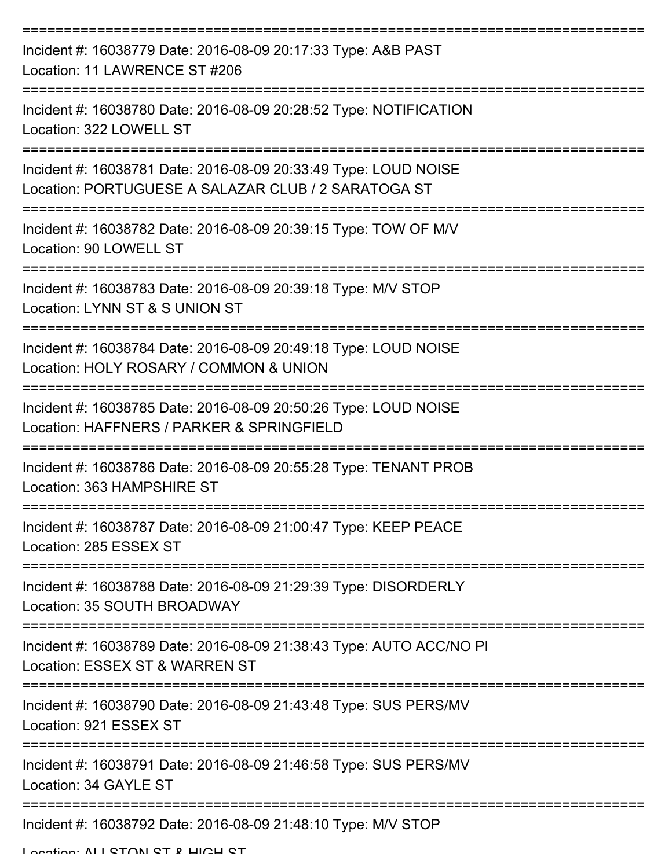| Incident #: 16038779 Date: 2016-08-09 20:17:33 Type: A&B PAST<br>Location: 11 LAWRENCE ST #206                         |
|------------------------------------------------------------------------------------------------------------------------|
| Incident #: 16038780 Date: 2016-08-09 20:28:52 Type: NOTIFICATION<br>Location: 322 LOWELL ST<br>-----------------      |
| Incident #: 16038781 Date: 2016-08-09 20:33:49 Type: LOUD NOISE<br>Location: PORTUGUESE A SALAZAR CLUB / 2 SARATOGA ST |
| Incident #: 16038782 Date: 2016-08-09 20:39:15 Type: TOW OF M/V<br>Location: 90 LOWELL ST                              |
| Incident #: 16038783 Date: 2016-08-09 20:39:18 Type: M/V STOP<br>Location: LYNN ST & S UNION ST                        |
| Incident #: 16038784 Date: 2016-08-09 20:49:18 Type: LOUD NOISE<br>Location: HOLY ROSARY / COMMON & UNION              |
| Incident #: 16038785 Date: 2016-08-09 20:50:26 Type: LOUD NOISE<br>Location: HAFFNERS / PARKER & SPRINGFIELD           |
| Incident #: 16038786 Date: 2016-08-09 20:55:28 Type: TENANT PROB<br>Location: 363 HAMPSHIRE ST                         |
| Incident #: 16038787 Date: 2016-08-09 21:00:47 Type: KEEP PEACE<br>Location: 285 ESSEX ST                              |
| Incident #: 16038788 Date: 2016-08-09 21:29:39 Type: DISORDERLY<br>Location: 35 SOUTH BROADWAY                         |
| Incident #: 16038789 Date: 2016-08-09 21:38:43 Type: AUTO ACC/NO PI<br>Location: ESSEX ST & WARREN ST                  |
| Incident #: 16038790 Date: 2016-08-09 21:43:48 Type: SUS PERS/MV<br>Location: 921 ESSEX ST                             |
| Incident #: 16038791 Date: 2016-08-09 21:46:58 Type: SUS PERS/MV<br>Location: 34 GAYLE ST                              |
| Incident #: 16038792 Date: 2016-08-09 21:48:10 Type: M/V STOP                                                          |

Location: ALL STON ST & HIGH ST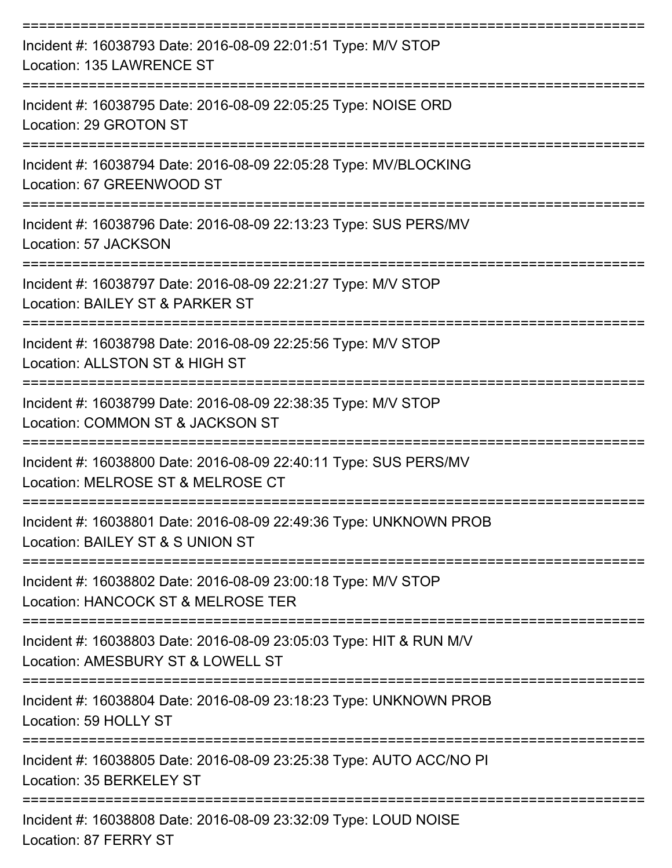| Incident #: 16038793 Date: 2016-08-09 22:01:51 Type: M/V STOP<br>Location: 135 LAWRENCE ST                     |
|----------------------------------------------------------------------------------------------------------------|
| Incident #: 16038795 Date: 2016-08-09 22:05:25 Type: NOISE ORD<br>Location: 29 GROTON ST                       |
| Incident #: 16038794 Date: 2016-08-09 22:05:28 Type: MV/BLOCKING<br>Location: 67 GREENWOOD ST                  |
| Incident #: 16038796 Date: 2016-08-09 22:13:23 Type: SUS PERS/MV<br>Location: 57 JACKSON<br>------------------ |
| Incident #: 16038797 Date: 2016-08-09 22:21:27 Type: M/V STOP<br>Location: BAILEY ST & PARKER ST               |
| Incident #: 16038798 Date: 2016-08-09 22:25:56 Type: M/V STOP<br>Location: ALLSTON ST & HIGH ST                |
| Incident #: 16038799 Date: 2016-08-09 22:38:35 Type: M/V STOP<br>Location: COMMON ST & JACKSON ST              |
| Incident #: 16038800 Date: 2016-08-09 22:40:11 Type: SUS PERS/MV<br>Location: MELROSE ST & MELROSE CT          |
| Incident #: 16038801 Date: 2016-08-09 22:49:36 Type: UNKNOWN PROB<br>Location: BAILEY ST & S UNION ST          |
| Incident #: 16038802 Date: 2016-08-09 23:00:18 Type: M/V STOP<br>Location: HANCOCK ST & MELROSE TER            |
| Incident #: 16038803 Date: 2016-08-09 23:05:03 Type: HIT & RUN M/V<br>Location: AMESBURY ST & LOWELL ST        |
| Incident #: 16038804 Date: 2016-08-09 23:18:23 Type: UNKNOWN PROB<br>Location: 59 HOLLY ST                     |
| Incident #: 16038805 Date: 2016-08-09 23:25:38 Type: AUTO ACC/NO PI<br>Location: 35 BERKELEY ST                |
| --------------<br>Incident #: 16038808 Date: 2016-08-09 23:32:09 Type: LOUD NOISE<br>Location: 87 FERRY ST     |